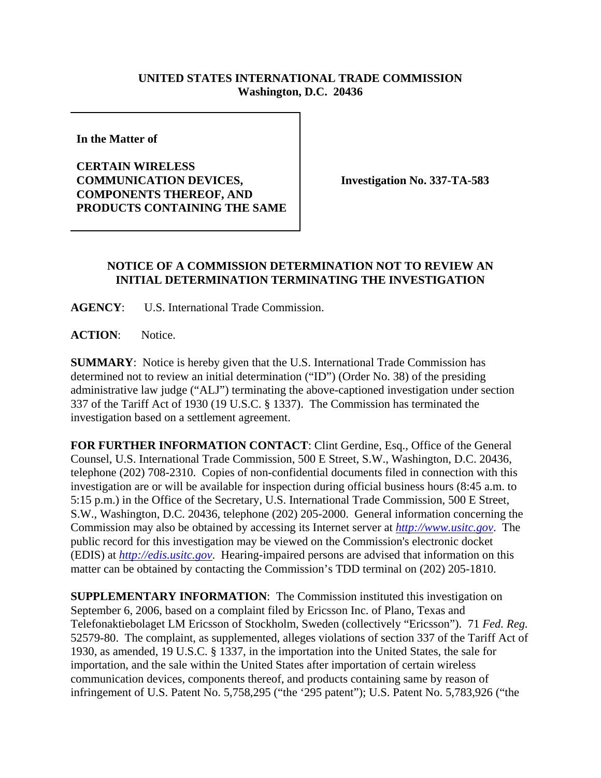## **UNITED STATES INTERNATIONAL TRADE COMMISSION Washington, D.C. 20436**

**In the Matter of** 

**CERTAIN WIRELESS COMMUNICATION DEVICES, COMPONENTS THEREOF, AND PRODUCTS CONTAINING THE SAME**

**Investigation No. 337-TA-583**

## **NOTICE OF A COMMISSION DETERMINATION NOT TO REVIEW AN INITIAL DETERMINATION TERMINATING THE INVESTIGATION**

**AGENCY**: U.S. International Trade Commission.

**ACTION**: Notice.

**SUMMARY**: Notice is hereby given that the U.S. International Trade Commission has determined not to review an initial determination ("ID") (Order No. 38) of the presiding administrative law judge ("ALJ") terminating the above-captioned investigation under section 337 of the Tariff Act of 1930 (19 U.S.C. § 1337). The Commission has terminated the investigation based on a settlement agreement.

**FOR FURTHER INFORMATION CONTACT**: Clint Gerdine, Esq., Office of the General Counsel, U.S. International Trade Commission, 500 E Street, S.W., Washington, D.C. 20436, telephone (202) 708-2310. Copies of non-confidential documents filed in connection with this investigation are or will be available for inspection during official business hours (8:45 a.m. to 5:15 p.m.) in the Office of the Secretary, U.S. International Trade Commission, 500 E Street, S.W., Washington, D.C. 20436, telephone (202) 205-2000. General information concerning the Commission may also be obtained by accessing its Internet server at *http://www.usitc.gov*. The public record for this investigation may be viewed on the Commission's electronic docket (EDIS) at *http://edis.usitc.gov*. Hearing-impaired persons are advised that information on this matter can be obtained by contacting the Commission's TDD terminal on (202) 205-1810.

**SUPPLEMENTARY INFORMATION**: The Commission instituted this investigation on September 6, 2006, based on a complaint filed by Ericsson Inc. of Plano, Texas and Telefonaktiebolaget LM Ericsson of Stockholm, Sweden (collectively "Ericsson"). 71 *Fed. Reg.* 52579-80. The complaint, as supplemented, alleges violations of section 337 of the Tariff Act of 1930, as amended, 19 U.S.C. § 1337, in the importation into the United States, the sale for importation, and the sale within the United States after importation of certain wireless communication devices, components thereof, and products containing same by reason of infringement of U.S. Patent No. 5,758,295 ("the '295 patent"); U.S. Patent No. 5,783,926 ("the